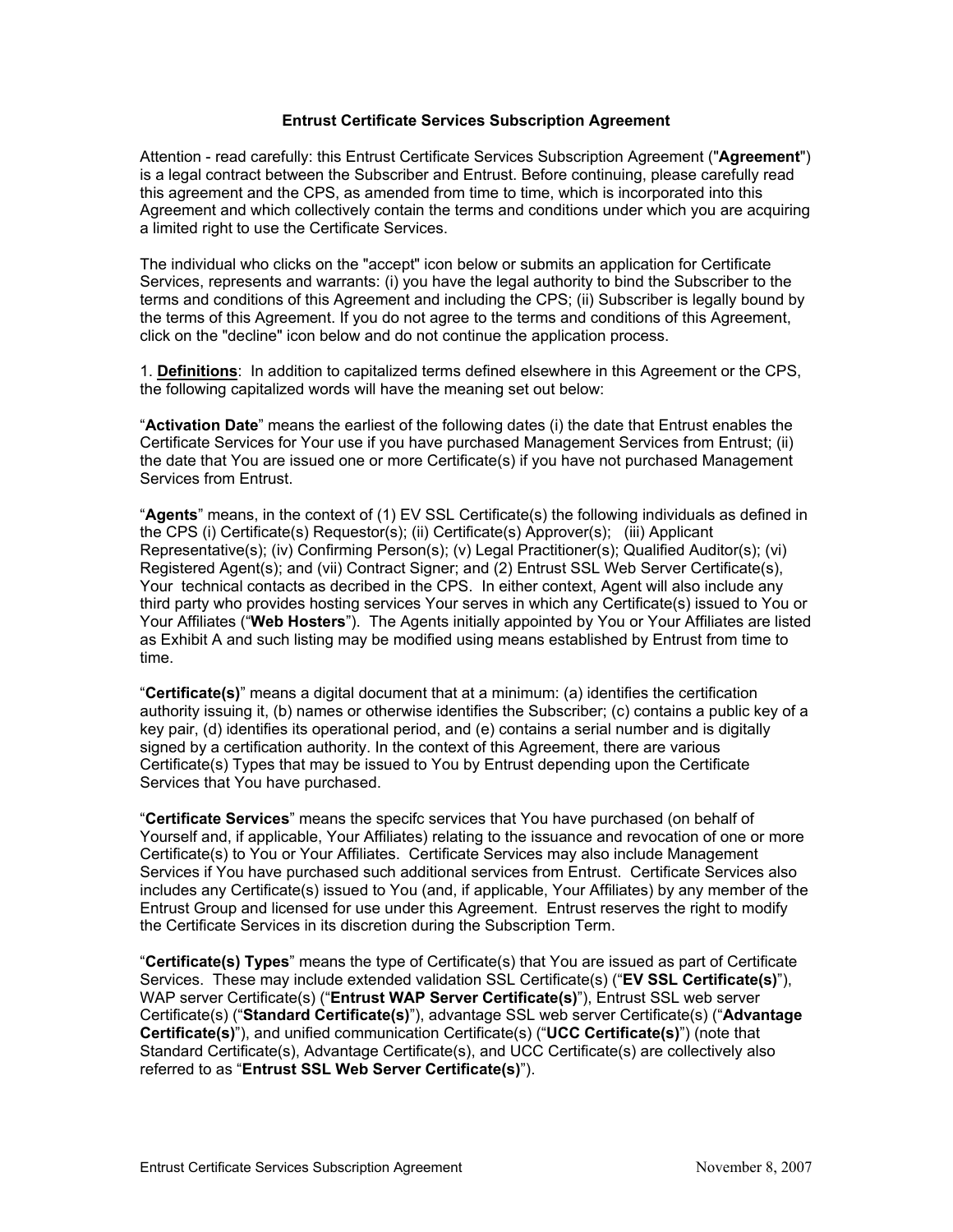### **Entrust Certificate Services Subscription Agreement**

Attention - read carefully: this Entrust Certificate Services Subscription Agreement ("Agreement") is a legal contract between the Subscriber and Entrust. Before continuing, please carefully read this agreement and the CPS, as amended from time to time, which is incorporated into this Agreement and which collectively contain the terms and conditions under which you are acquiring a limited right to use the Certificate Services.

The individual who clicks on the "accept" icon below or submits an application for Certificate Services, represents and warrants: (i) you have the legal authority to bind the Subscriber to the terms and conditions of this Agreement and including the CPS; (ii) Subscriber is legally bound by the terms of this Agreement. If you do not agree to the terms and conditions of this Agreement, click on the "decline" icon below and do not continue the application process.

1. **Definitions**: In addition to capitalized terms defined elsewhere in this Agreem ent or the CPS, the following capitalized words will have the meaning set out below:

"**Activation Date**" means the earliest of the following dates (i) the date that Entrust enables the Certificate Services for Your use if you have purchased Management Services from Entrust; (ii) the date that You are issued one or more Certificate(s) if you have not purchased Management Services from Entrust.

"**Agents**" means, in the context of (1) EV SSL Certificate(s) the following individuals as defined in t the CPS (i) Certificate(s) Requestor(s); (ii) Certificate(s) Approver(s); (iii) Applican Representative(s); (iv) Confirming Person(s); (v) Legal Practitioner(s); Qualified Auditor(s); (vi) Registered Agent(s); and (vii) Contract Signer; and (2) Entrust SSL Web Server Certificate(s), Your technical contacts as decribed in the CPS. In either context, Agent will also include any third party who provides hosting services Your serves in which any Certificate(s) issued to You or Your Affiliates ("Web Hosters"). The Agents initially appointed by You or Your Affiliates are listed as Exhibit A and such listing may be modified using means established by Entrust from time to time.

"**Certificate(s)**" means a digital document that at a minimum: (a) identifies the certification authority issuing it, (b) names or otherwise identifies the Subscriber; (c) contains a public key of a key pair, (d) identifies its operational period, and (e) contains a serial number and is digitally signed by a certification authority. In the context of this Agreement, there are various Certificate(s) Types that may be issued to You by Entrust depending upon the Certificate Services that You have purchased.

"Certificate Services" means the specifc services that You have purchased (on behalf of Yourself and, if applicable, Your Affiliates) relating to the issuance and revocation of one or more Certificate(s) to You or Your Affiliates. Certificate Services may also include Management Services if You have purchased such additional services from Entrust. Certificate Services also includes any Certificate(s) issued to You (and, if applicable, Your Affiliates) by any member of the Entrust Group and licensed for use under this Agreement. Entrust reserves the right to modify the Certificate Services in its discretion during the Subscription Term.

"**Certificate(s) Types**" means the type of Certificate(s) that You are issued as part of Certificate Services. These may include extended validation SSL Certificate(s) ("**EV SSL Certificate(s)**"), WAP server Certificate(s) ("**Entrust WAP Server Certificate(s)**"), Entrust SSL web server Certificate(s) ("**Standard Certificate(s)**"), advantage SSL web server Certificate(s) ("**Advantage Certificate(s)**"), and unified communication Certificate(s) ("**UCC Certificate(s)**") (note that Standard Certificate(s), Advantage Certificate(s), and UCC Certificate(s) are collectively also referred to as "**Entrust SSL Web Server Certificate(s)**").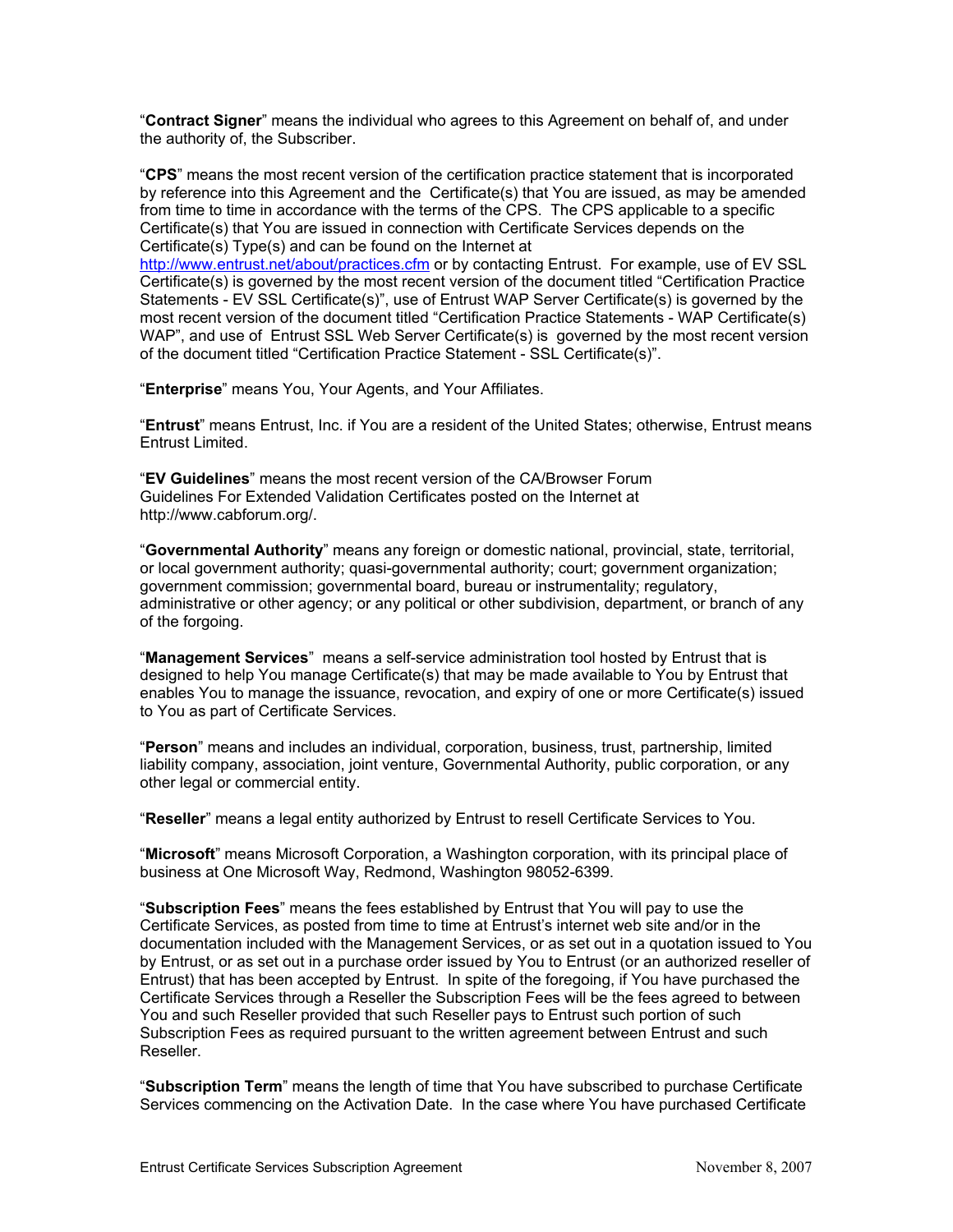"**Contract Signer**" means the individual who agrees to this Agreement on behalf of, and under the authority of, the Subscriber.

"CPS" means the most recent version of the certification practice statement that is incorporated by reference into this Agreement and the Certificate(s) that You are issued, as may be amended from time to time in accordance with the terms of the CPS. The CPS applicable to a specific [Certificate\(s\) that You are issued](http://www.entrust.net/about/practices.cfm) in connection with Certificate Services depends on the Certificate(s) Type(s) and can be found on the Internet at

http://www.entrust.net/about/practices.cfm or by contacting Entrust. For example, use of EV SSL Certificate(s) is governed by the most recent version of the document titled "Certifi cation Practice Statements - EV SSL Certificate(s)", use of Entrust WAP Server Ce rtificate(s) is governed by the most recent version of the document titled "Certification Practice Statements - WAP Certificate(s) WAP", and use of Entrust SSL Web Server Certificate(s) is governed by the most recent version of the document titled "Certification Practice Statement - SSL Certificate(s)".

"Enterprise" means You, Your Agents, and Your Affiliates.

"**Entrust**" means Entrust, Inc. if You are a resident of the United States; otherwise, Entrust means Entrust Limited.

"**EV Guidelines**" means the most recent version of the CA/Browser Forum Guidelines For Extended Validation Certificates posted on the Internet at http://www.cabforum.org/.

"**Governmental Authority**" means any foreign or domestic national, provincial, state, territorial, or local government authority; quasi-governmental authority; court; government organization; government commission; governmental board, bureau or instrumentality; regulatory, administrative or other agency; or any political or other subdivision, department, or branch of any of the forgoing.

"Management Services" means a self-service administration tool hosted by Entrust that is designed to help You manage Certificate(s) that may be made available to You by Entrust that enables You to manage the issuance, revocation, and expiry of one or more Certificate(s) issued to You as part of Certificate Services.

"Person" means and includes an individual, corporation, business, trust, partnership, limited liability company, association, joint venture, Governmental Authority, public corporation, or any other legal or commercial entity.

"Reseller" means a legal entity authorized by Entrust to resell Certificate Services to You.

"Microsoft" means Microsoft Corporation, a Washington corporation, with its principal place of business at One Microsoft Way, Redmond, Washington 98052-6399.

**cription Fees**" means the fees established by Entrust that You will pay to use the "**Subs** Certificate Services, as posted from time to time at Entrust's internet web site and/or in the documentation included with the Management Services, or as set out in a quotation issued to You by Entrust, or as set out in a purchase order issued by You to Entrust (or an authorized reseller of Entrust) that has been accepted by Entrust. In spite of the foregoing, if You have purchased the Certificate Services through a Reseller the Subscription Fees will be the fees agreed to between You and such Reseller provided that such Reseller pays to Entrust such portion of such Subscription Fees as required pursuant to the written agreement between Entrust and such Reseller.

"**Subscription Term**" means the length of time that You have subscribed to purchase Certificate Services commencing on the Activation Date. In the case where You have purchased Certificate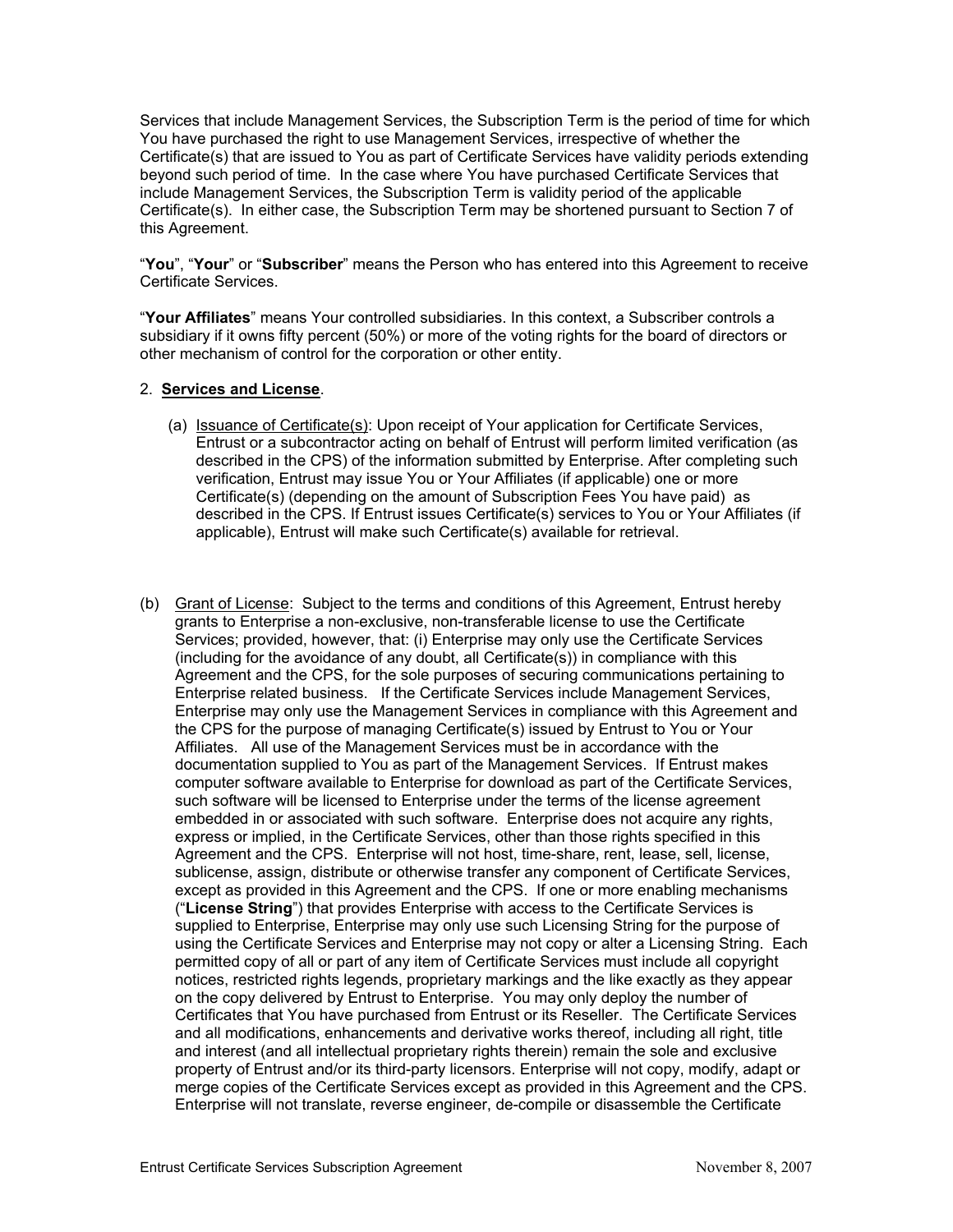Services that include Management Services, the Subscription Term is the period of time for which You have purchased the right to use Management Services, irrespective of wheth er the Certificate(s) that are issued to You as part of Certificate Services have validity periods extending beyond such period of time. In the case where You have purchased Certificate Services that include Mana gement Services, the Subscription Term is validity period of the applicable Certificate(s). In either case, the Subscription Term may be shortened pursuant to Section 7 of this Agreement.

"**You**", "Your" or "Subscriber" means the Person who has entered into this Agreement to receive Certificate Services.

"**Your Affiliates**" means Your controlled subsidiaries. In this context, a Subscriber controls a subsidiary if it owns fifty percent (50%) or more of the voting rights for the board of directors or other mechanism of control for the corporation or other entity.

# 2. **S ervices and License**.

- (a) Issuance of Certificate(s): Upon receipt of Your application for Certificate Services, Entrust or a subcontractor acting on behalf of Entrust will perform limited verification (as described in the CPS) of the information submitted by Ente rprise. After completing such verification, Entrust may issue You or Your Affiliates (if applicable) one or more Certificate(s) (depending on the amount of Subscription Fees You have paid) as described in the CPS. If Entrust issues Certificate(s) services to You or Your Affiliates (if applicable), Entrust will make such Certificate(s) available for retrieval.
- (b) Grant of License: Subject to the terms and conditions of this Agreement, Entrust hereby grants to Enterprise a non-exclusive, non-transferable license to use th e Certificate Services; provided, however, that: (i) Enterprise may only use the Certificate Services (including for the avoidance of any doubt, all Certificate(s)) in complianc e with this Agreement and the CPS, for the sole purposes of securing communication s pertaining to Enterprise related business. If the Certificate Services include Manageme nt Services, Enterprise may only use the Management Services in compliance with th is Agreement and the CPS for the purpose of managing Certificate(s) issued by Entrust to You or Your Affiliates. All use of the Management Services must be in accordance with the documentation supplied to You as part of the Management Services. If Entrust makes computer software available to Enterprise for download as part of the Certificate Services, such software will be licensed to Enterprise under the terms of the license agreement embedded in or associated with such software. Enterprise does not acquire any rights, express or implied, in the Certificate Services, other than those rights spec ified in this Agreement and the CPS. Enterprise will not host, time-share, rent, le ase, sell, license, sublicense, assign, distribute or otherwise transfer any component of Certifi cate Services, except as provided in this Agreement and the CPS. If one or more enabli ng mechanisms ("**License String**") that provides Enterprise with access to the Certificate Services is supplied to Enterprise, Enterprise may only use such Licensing String for the purpose of using the Certificate Services and Enterprise may not copy or alter a Licensin g String. Each permitted copy of all or part of any item of Certificate Services must include all copyright notices, restricted rights legends, proprietary markings and the like exactly as they appear on the copy delivered by Entrust to Enterprise. You may only deploy the number of Certificates that You have purchased from Entrust or its Reseller. The Certificate Services and all modifications, enhancements and derivative works thereof, including all right, title and interest (and all intellectual proprietary rights therein) remain the sole and exclusive property of Entrust and/or its third-party licensors. Enterprise will not copy, modify, adapt or merge copies of the Certificate Services except as provided in this Agreement and the CPS. Enterprise will not translate, reverse engineer, de-compile or disassemble the Certificate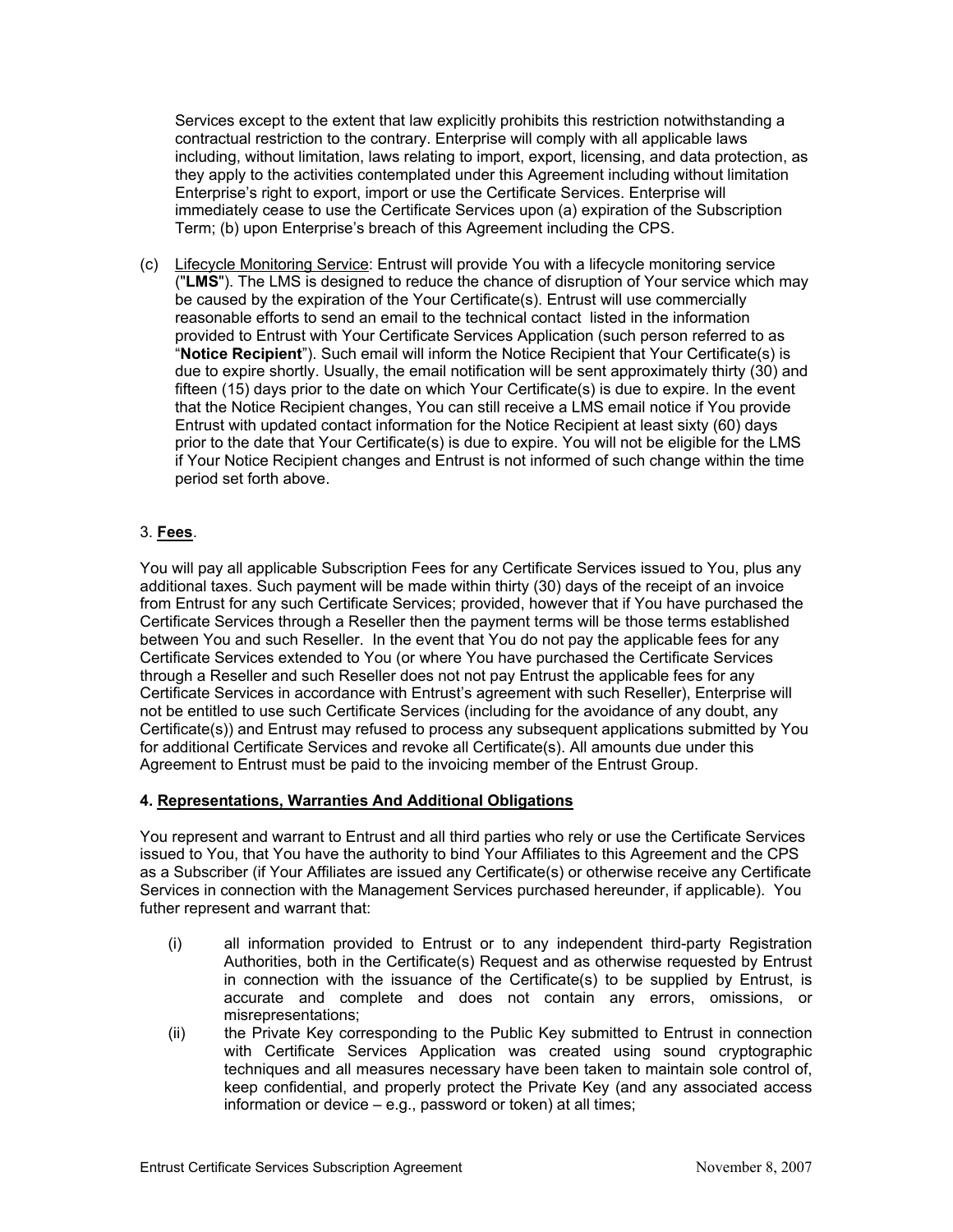Services except to the extent that law explicitly prohibits this restrictio n notwithstanding a contractual restriction to the contrary. Enterprise will comply with all applicabl e laws including, without limitation, laws relating to import, export, licensing, and d ata protection, as they apply to the activities contemplated under this Agreement including without limitation Enterprise's right to export, import or use the Certificate Servi ces. Enterprise will immediately cease to use the Certificate Services upon (a) expiration of the Subscription Term; (b) upon Enterprise's breach of this Agreement including the CPS.

( c) Lifecycle Monitoring Service: Entrust will provide You with a lifecycle m onitoring service ("**LMS**"). The LMS is designed to reduce the chance of disruption of Your service which may be caused by the expiration of the Your Certificate(s). Entrust will use com mercially reasonable efforts to send an email to the technical contact listed in the infor mation provided to Entrust with Your Certificate Services Application (such person referred to as "**Notice Recipient**"). Such email will inform the Notice Recipient that Your Certificate(s) is due to expire shortly. Usually, the email notification will be sent approximate ly thirty (30) and fifteen (15) days prior to the date on which Your Certificate(s) is due to expire . In the event that the Notice R ecipient changes, You can still receive a LMS email notice if You provide Entrust with updated contact information for the Notice Recipient at least sixty (60) days prior to the date that Your Certificate(s) is due to expire. You will not be eligible for the LMS if Your Notice Recipient changes and Entrust is not informed of such change within the time period set forth above.

# 3. **Fees**.

You will pay all applicable Subscription Fees for any Certificate Services issued to You, plus any additional taxes. Such payment will be made within thirty (30) days of the re ceipt of an invoice from Entrust for any such Certificate Services; provided, however that if You hav e purchased the Certificate Services through a Reseller then the payment terms will be those terms esta blished between You and such Reseller. In the event that You do not pay the appli cable fees for any Certificate Services extended to You (or where You have purchased the Certificate Services through a Reseller and such Reseller does not not pay Entrust the applicable fees for any Certificate Services in accordance with Entrust's agreement with such Reseller), Enterprise will Certificate(s)) and Entrust may refused to process any subsequent applications submitted by You for additional Certificate Services and revoke all Certificate(s). All amounts due under this not be entitled to use such Certificate Services (including for the avoidance of any doubt, any Agreement to Entrust must be paid to the invoicing member of the Entrust Group.

# **4. Representations, Warranties And Additional Obligations**

You represent and warrant to Entrust and all third parties who rely or use the Certificate Services issued to You, that You have the authority to bind Your Affiliates to this Agreement and the CPS as a Subscriber (if Your Affiliates are issued any Certificate(s) or otherwise receive any Certificate Services in connection with the Management Services purchased hereunder, if applicable). You futher r epresent and warrant that:

- (i) all information provided to Entrust or to any independent third-party Registration Authorities, both in the Certificate(s) Request and as otherwise requested by Entrust in connection with the issuance of the Certificate(s) to be supplied by Entrust, is accurate and complete and does not contain any errors, omissions, or misrepresentations;
- (ii) the Private Key corresponding to the Public Key submitted to Entrust in connection with Certificate Services Application was created using sound cryptographic techniques and all measures necessary have been taken to maintain sole control of, keep confidential, and properly protect the Private Key (and any associated access information or device – e.g., password or token) at all times;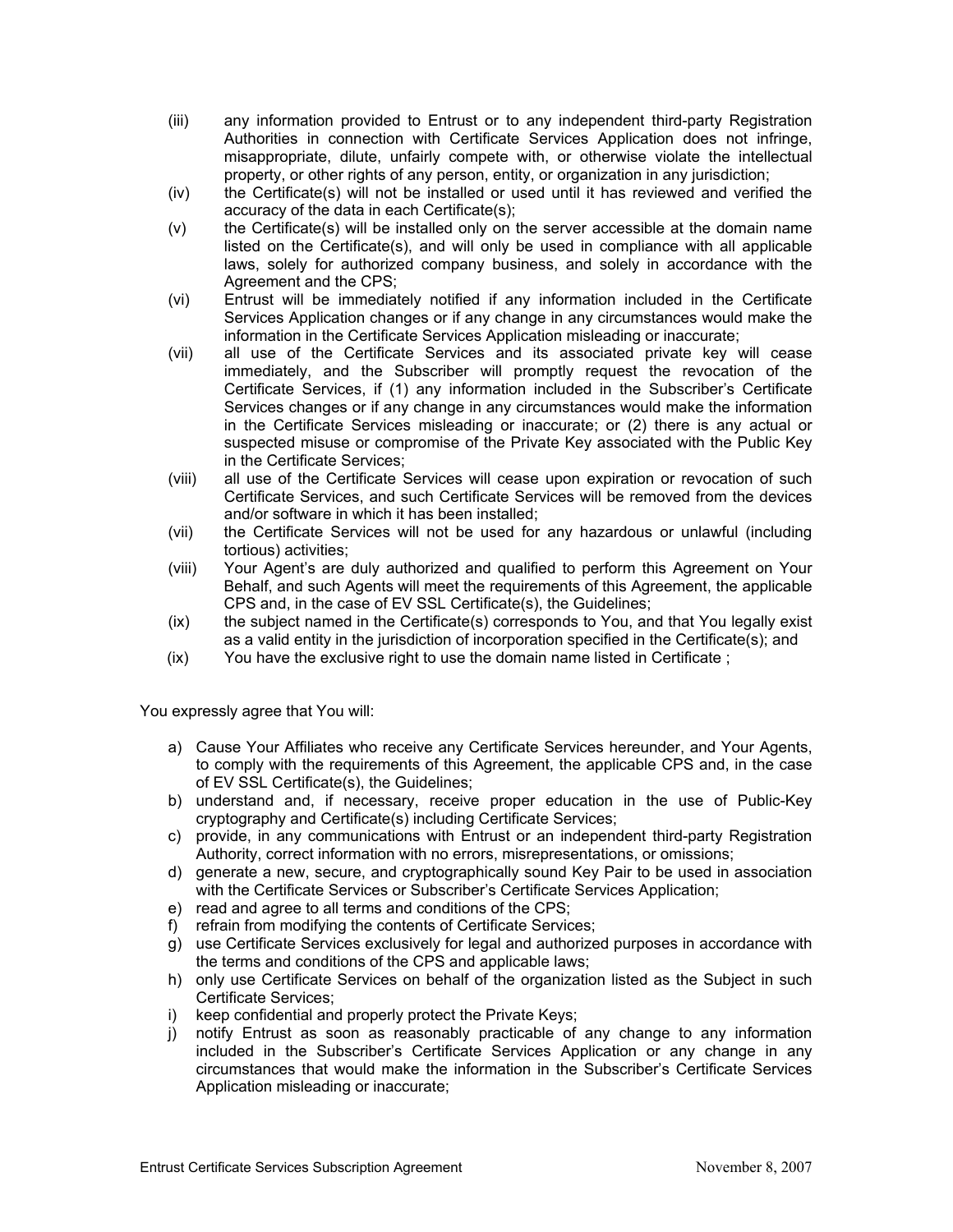- (iii) any information provided to Entrust or to any independent third-party Registration Authorities in connection with Certificate Services Application does not infringe, misappropriate, dilute, unfairly compete with, or otherwise violate the intellectual property, or other rights of any person, entity, or organization in any jurisdiction;
- (iv) the Certificate(s) will not be installed or used until it has reviewed and verified the accuracy of the data in each Certificate(s);
- $(v)$  the Certificate(s) will be installed only on the server accessible at the domain name listed on the Certificate(s), and will only be used in compliance with all applicable laws, solely for authorized company business, and solely in accordance with the Agreement and the CPS;
- (vi) Entrust will be immediately notified if any information included in the Certificate Services Application changes or if any change in any circumstances would make the information in the Certificate Services Application misleading or inaccurate;
- (vii) all use of the Certificate Services and its associated private key will cease immediately, and the Subscriber will promptly request the revocation of the Certificate Services, if (1) any information included in the Subscriber's Certificate Services changes or if any change in any circumstances would make the information in the Certificate Services misleading or inaccurate; or (2) there is any actual or suspected misuse or compromise of the Private Key associated with the Public Key in the Certificate Services;
- (viii) all use of the Certificate Services will cease upon expiration or revocation of such Certificate Services, and such Certificate Services will be removed from the devices and/or software in which it has been installed;
- (vii) the Certificate Services will not be used for any hazardous or unlawful (including tortious) activities;
- (viii) Your Agent's are duly authorized and qualified to perform this Agreement on Your Behalf, and such Agents will meet the requirements of this Agreement, the applicable CPS and, in the case of EV SSL Certificate(s), the Guidelines;
- (ix) the subject named in the Certificate(s) corresponds to You, and that You legally exist as a valid entity in the jurisdiction of incorporation specified in the Certificate(s); and
- $(ix)$  You have the exclusive right to use the domain name listed in Certificate;

You expressly agree that You will:

- a) Cause Your Affiliates who receive any Certificate Services hereunder, and Your Agents, to comply with the requirements of this Agreement, the applicable CPS and, in the case of EV SSL Certificate(s), the Guidelines;
- b) understand and, if necessary, receive proper education in the use of Public-Key cryptography and Certificate(s) including Certificate Services;
- c) provide, in any communications with Entrust or an independent third-party Registration Authority, correct information with no errors, misrepresentations, or omissions;
- d) generate a new, secure, and cryptographically sound Key Pair to be used in association with the Certificate Services or Subscriber's Certificate Services Application;
- e) read and agree to all terms and conditions of the CPS;
- f) refrain from modifying the contents of Certificate Services;
- g) use Certificate Services exclusively for legal and authorized purposes in accordance with the terms and conditions of the CPS and applicable laws;
- h) only use Certificate Services on behalf of the organization listed as the Subject in such Certificate Services;
- i) keep confidential and properly protect the Private Keys;
- j) notify Entrust as soon as reasonably practicable of any change to any information included in the Subscriber's Certificate Services Application or any change in any circumstances that would make the information in the Subscriber's Certificate Services Application misleading or inaccurate;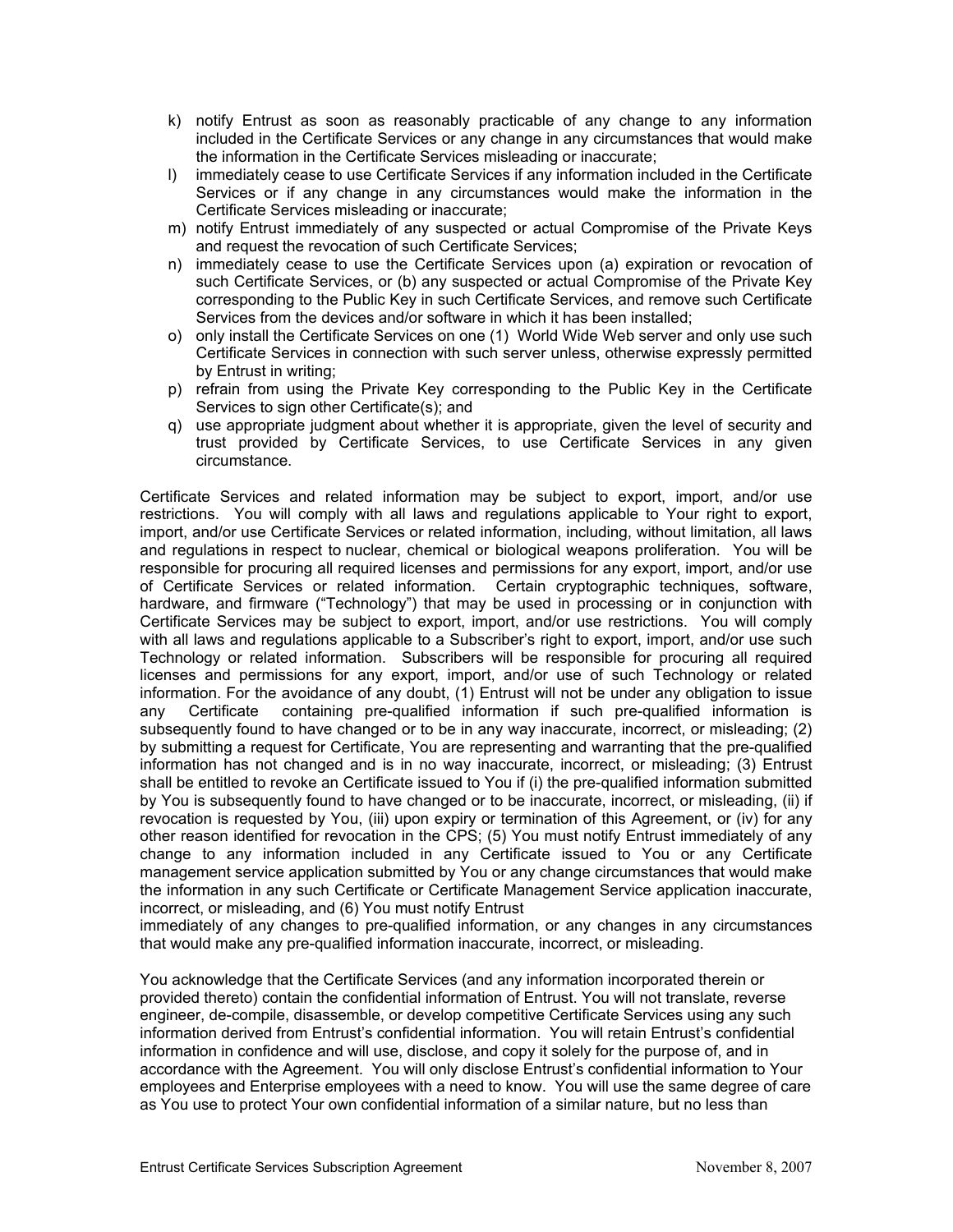- k) notify Entrust as soon as reasonably practicable of any change to a ny information included in the Certificate Services or any change in any circumstances that would make the information in the Certificate Services misleading or inaccurate;
- I) immediately cease to use Certificate Services if any information included in the Certificate Services or if any change in any circumstances would make the information in the Certificate Services misleading or inaccurate;
- m) notify Entrust immediately of any suspected or actual Compromise of the Private Keys and request the revocation of such Certificate Services;
- n) immediately cease to use the Certificate Services upon (a) expiration or revocation of such Certificate Services, or (b) any suspected or actual Compromise of the Private Key corresponding to the Public Key in such Certificate Services, and remove such Certificate Services from the devices and/or software in which it has been installed;
- o) only install the Certificate Services on one (1) World Wide Web server and only use such Certificate Services in connection with such server unless, otherwise expressly permitted by Entrust in writing;
- p) refrain from using the Private Key corresponding to the Public Key in the Certificate Services to sign other Certificate(s); and
- q) use appropriate judgment about whether it is appropriate, given the level of security and trust provided by Certificate Services, to use Certificate Services in any given circumstance.

Certificate Services and related information may be subject to export, import, and/or use restrictions. You will comply with all laws and regulations applicable to Your right to export, import, and/or use Certificate Services or related information, including, without limitation, all laws and regulations in respect to nuclear, chemical or biological weapons proliferation. You will be responsible for procuring all required licenses and permissions for any export, import, and/or use of Certificate Services or related information. Certain cryptographic techniques, software, hardware, and firmware ("Technology") that may be used in processing or in conjunction with Certificate Services may be subject to export, import, and/or use restrictions. You will comply with all laws and regulations applicable to a Subscriber's right to export, import, and/or use such Technology or related information. Subscribers will be responsible for procuring all required licenses and permissions for any export, import, and/or use of such Technology or related information. For the avoidance of any doubt, (1) Entrust will not be under any obligation to issue any Certificate containing pre-qualified information if such pre-qualified information is subsequently found to have changed or to be in any way inaccurate, incorrect, or misleading; (2) by submitting a request for Certificate, You are representing and warranting that the pre-qualified information has not changed and is in no way inaccurate, incorrect, or misleading; (3) Entrust shall be entitled to revoke an Certificate issued to You if (i) the pre-qualified information submitted by You is subsequently found to have changed or to be inaccurate, incorrect, or misleading, (ii) if revocation is requested by You, (iii) upon expiry or termination of this Agreement, or (iv) for any other reason identified for revocation in the CPS; (5) You must notify Entrust immediately of any change to any information included in any Certificate issued to You or any Certificate management service application submitted by You or any change circumstances that would make the information in any such Certificate or Certificate Management Service application inaccurate, incorrect, or misleading, and (6) You must notify Entrust

immediately of any changes to pre-qualified information, or any changes in any circumstances that would make any pre-qualified information inaccurate, incorrect, or misleading.

You acknowledge that the Certificate Services (and any information incorporated therein or provided thereto) contain the confidential information of Entrust. You will not translate, reverse engineer, de-compile, disassemble, or develop competitive Certificate Services using any such information derived from Entrust's confidential information. You will retain Entrust's confidential information in confidence and will use, disclose, and copy it solely for the purpose of, and in accordance with the Agreement. You will only disclose Entrust's confidential information to Your employees and Enterprise employees with a need to know. You will use the same degree of care as You use to protect Your own confidential information of a similar nature, but no less than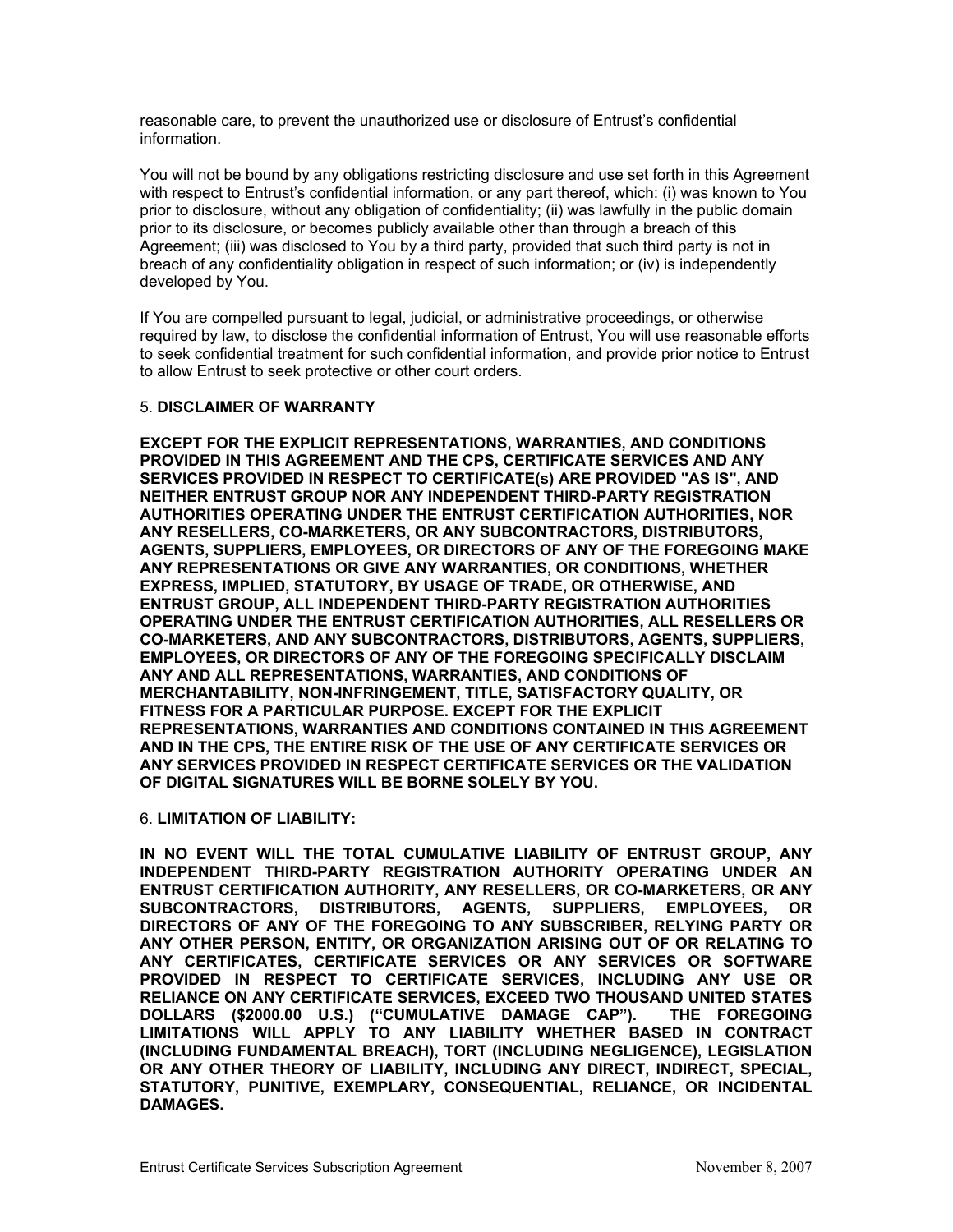reasonable care, to prevent the unauthorized use or disclosure of Entrust's confidential information.

You will not be bound by any obligations restricting disclosure and use set forth in this Agreement with respect to Entrust's confidential information, or any part thereof, which: (i) was known to You prior to disclosure, without any obligation of confidentiality; (ii) was lawfully in the public domain prior to its disclosure, or becomes publicly available other than through a breach of this Agreement; (iii) was disclosed to You by a third party, provided that such third party is not in breach of any confidentiality obligation in respect of such information; or (iv) is independently developed by You.

If You are compelled pursuant to legal, judicial, or administrative proceedings, or otherwise required by law, to disclose the confidential information of Entrust, You will use reasonable efforts to seek confidential treatment for such confidential information, and provide prior notice to Entrust to allow Entrust to seek protective or other court orders.

# 5. **DISCLAIMER OF WARRANTY**

**EXCEPT FOR THE EXPLICIT REPRESENTATIONS, WARRANTIES, AND CONDITIONS PROVIDED IN THIS AGREEMENT AND THE CPS, CERTIFICATE SERVICES AND ANY IS", AND SERVICES PROVIDED IN RESPECT TO CERTIFICATE(s) ARE PROVIDED "AS NEITHER ENTRUST GROUP NOR ANY INDEPENDENT THIRD-PARTY REGISTRATION HORITIES, NOR AUTHORITIES OPERATING UNDER THE ENTRUST CERTIFICATION AUT TORS, ANY RESELLERS, CO-MARKETERS, OR ANY SUBCONTRACTORS, DISTRIBU GOING MAKE AGENTS, SUPPLIERS, EMPLOYEES, OR DIRECTORS OF ANY OF THE FORE ANY REPRESENTATIONS OR GIVE ANY WARRANTIES, OR CONDITIONS, WHETHER WISE, AND EXPRESS, IMPLIED, STATUTORY, BY USAGE OF TRADE, OR OTHER ENTRUST GROUP, ALL INDEPENDENT THIRD-PARTY REGISTRATION AUTHORITIES SELLERS OR OPERATING UNDER THE ENTRUST CERTIFICATION AUTHORITIES, ALL RE TS, SUPPLIERS, CO-MARKETERS, AND ANY SUBCONTRACTORS, DISTRIBUTORS, AGEN EMPLOYEES, OR DIRECTORS OF ANY OF THE FOREGOING SPECIFICALLY DISCLAIM AND CONDITIONS OF ANY AND ALL REPRESENTATIONS, WARRANTIES,**  $MERCHANTABILITY, NON-INFRINGEMENT, TITLE, SATISFACTORY QUALITY, OR$ **ULAR PURPOSE. EXCEPT FOR THE EXPLICIT FITNESS FOR A PARTIC NT REPRESENTATIONS, WARRANTIES AND CONDITIONS CONTAINED IN THIS AGREEME VICES OR AND IN THE CPS, THE ENTIRE RISK OF THE USE OF ANY CERTIFICATE SER**  $\boldsymbol{\mathsf{ANY}}$  SERVICES PROVIDED IN RESPECT CERTIFICATE SERVICES OR THE VALIDATION **OF DIGITAL SIGNATURES WILL BE BORNE SOLELY BY YOU.**

### 6. **LIMITATION OF LIABILITY:**

**GROUP, ANY IN NO EVENT WILL THE TOTAL CUMULATIVE LIABILITY OF ENTRUST** INDEPENDENT THIRD-PARTY REGISTRATION AUTHORITY OPERATING UNDER AN **RS, OR ANY ENTRUST CERTIFICATION AUTHORITY, ANY RESELLERS, OR CO-MARKETE EMPLOYEES, OR** DIRECTORS OF ANY OF THE FOREGOING TO ANY SUBSCRIBER, RELYING PARTY OR **HER PERSON, ENTITY, OR ORGANIZATION ARISING OUT OF OR RELATING TO ANY OT ANY CERTIFICATES, CERTIFICATE SERVICES OR ANY SERVICES OR SOFTWARE PROVIDED IN RESPECT TO CERTIFICATE SERVICES, INCLUDING ANY USE OR RELIANCE ON ANY CERTIFICATE SERVICES, EXCEED TWO THOUSAND UNITED STATES DOLLARS (\$2000.00 U.S.) ("CUMULATIVE DAMAGE CAP"). THE FOREGOING LIMITATIONS WILL APPLY TO ANY LIABILITY WHETHER BASED IN CONTRACT (INCLUDING FUNDAMENTAL BREACH), TORT (INCLUDING NEGLIGENCE), LEGISLATION OR ANY OTHER THEORY OF LIABILITY, INCLUDING ANY DIRECT, INDIRECT, SPECIAL, STATUTORY, PUNITIVE, EXEMPLARY, CONSEQUENTIAL, RELIANCE, OR INCIDENTAL DAMAGES.**   $SUBCONTRACTORS, DISTRIBUTORS, AGENTS, SUPPLIERS,$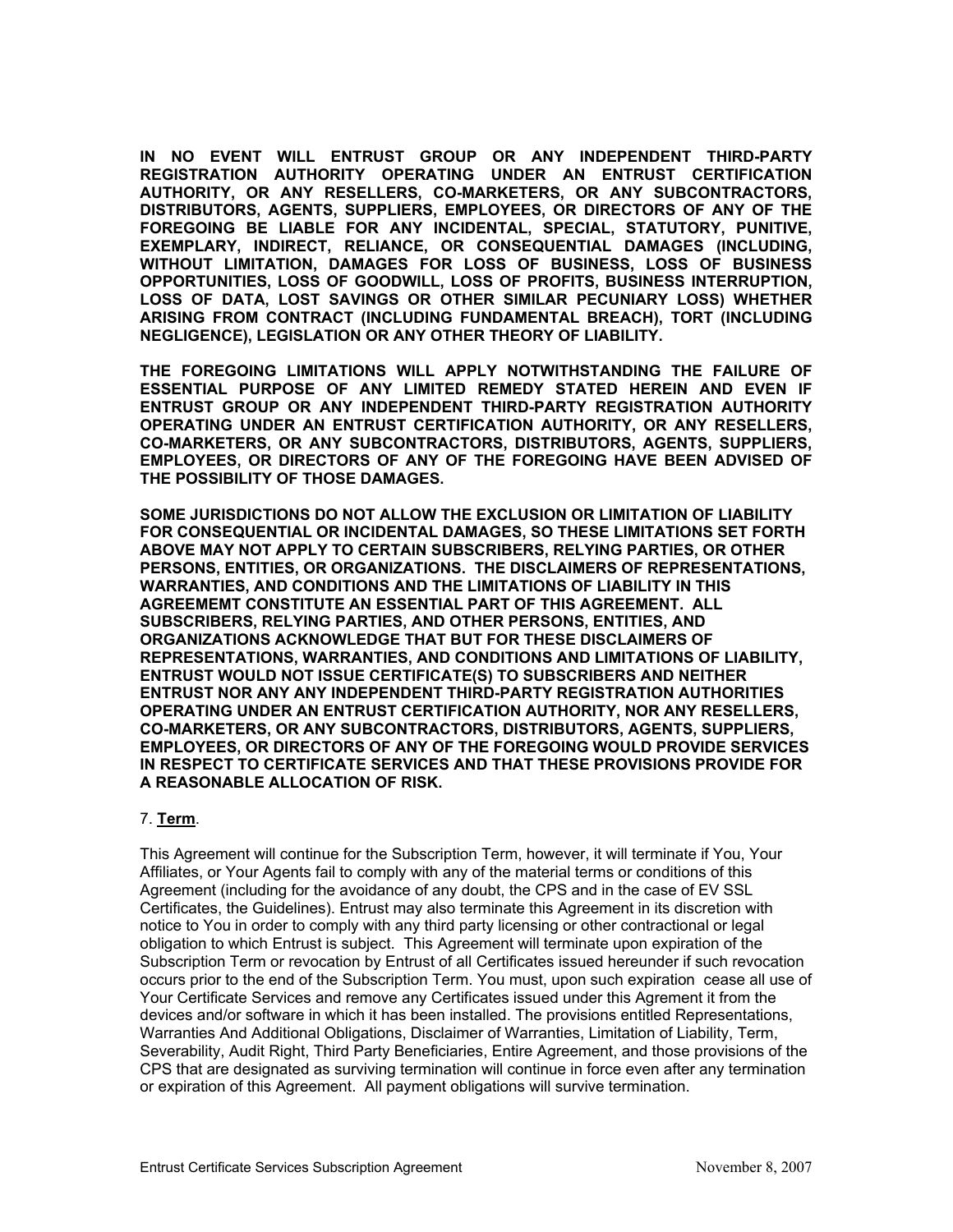IN NO EVENT WILL ENTRUST GROUP OR ANY INDEPENDENT THIRD-PARTY **REGISTRATION AUTHORITY OPERATING UNDER AN ENTRUST CERTIFICATION NTRACTORS, AUTHORITY, OR ANY RESELLERS, CO-MARKETERS, OR ANY SUBCO ANY OF THE DISTRIBUTORS, AGENTS, SUPPLIERS, EMPLOYEES, OR DIRECTORS OF Y, PUNITIVE, FOREGOING BE LIABLE FOR ANY INCIDENTAL, SPECIAL, STATUTOR (INCLUDING, EXEMPLARY, INDIRECT, RELIANCE, OR CONSEQUENTIAL DAMAGES F BUSINESS WITHOUT LIMITATION, DAMAGES FOR LOSS OF BUSINESS, LOSS O** OPPORTUNITIES, LOSS OF GOODWILL, LOSS OF PROFITS, BUSINESS INTERRUPTION, **LOSS OF DATA, LOST SAVINGS OR OTHER SIMILAR PECUNIARY LOSS) WHETHER (INCLUDING ARISING FROM CONTRACT (INCLUDING FUNDAMENTAL BREACH), TORT NEGLIGENCE), LEGISLATION OR ANY OTHER THEORY OF LIABILITY.** 

**FAILURE OF THE FOREGOING LIMITATIONS WILL APPLY NOTWITHSTANDING THE ESSENTIAL PURPOSE OF ANY LIMITED REMEDY STATED HEREIN AND EVEN IF ENTRUST GROUP OR ANY INDEPENDENT THIRD-PARTY REGISTRATION AUTHORITY OPERATING UNDER AN ENTRUST CERTIFICATION AUTHORITY, OR ANY RESELLERS, TS, SUPPLIERS, CO-MARKETERS, OR ANY SUBCONTRACTORS, DISTRIBUTORS, AGEN EMPLOYEES, OR DIRECTORS OF ANY OF THE FOREGOING HAVE BEEN ADVISED OF THE POSSIBILITY OF THOSE DAMAGES.** 

**TATION OF LIABILITY SOME JURISDICTIONS DO NOT ALLOW THE EXCLUSION OR LIMI LIMITATIONS SET FORTH FOR CONSEQUENTIAL OR INCIDENTAL DAMAGES, SO THESE** ABOVE MAY NOT APPLY TO CERTAIN SUBSCRIBERS, RELYING PARTIES, OR OTHER **SENTATIONS, PERSONS, ENTITIES, OR ORGANIZATIONS. THE DISCLAIMERS OF REPRE N THIS WARRANTIES, AND CONDITIONS AND THE LIMITATIONS OF LIABILITY I LL AGREEMEMT CONSTITUTE AN ESSENTIAL PART OF THIS AGREEMENT. A D SUBSCRIBERS, RELYING PARTIES, AND OTHER PERSONS, ENTITIES, AN F ORGANIZATIONS ACKNOWLEDGE THAT BUT FOR THESE DISCLAIMERS O OF LIABILITY, REPRESENTATIONS, WARRANTIES, AND CONDITIONS AND LIMITATIONS RTIFICATE(S) TO SUBSCRIBERS AND NEITHER ENTRUST WOULD NOT ISSUE CE UST NOR ANY ANY INDEPENDENT THIRD-PARTY REGISTRATION AUTHORITIES ENTR ATING UNDER AN ENTRUST CERTIFICATION AUTHORITY, NOR ANY RESELLERS, OPER S, SUPPLIERS, CO-MARKETERS, OR ANY SUBCONTRACTORS, DISTRIBUTORS, AGENT EMPLOYEES, OR DIRECTORS OF ANY OF THE FOREGOING WOULD PROVIDE SERVICES** IN RESPECT TO CERTIFICATE SERVICES AND THAT THESE PROVISIONS PROVIDE FOR **A REASONABLE ALLOCATION OF RISK.** 

# 7. **Term**.

This Agreement will continue for the Subscription Term, however, it will termin ate if You, Your Affiliates, or Your Agents fail to comply with any of the material terms or conditions of this Agreement (including for the avoidance of any doubt, the CPS and in the case of EV SSL Certificates, the Guidelines). Entrust may also terminate this Agreement in its discretion with notice to You in order to comply with any third party licensing or other contractiona l or legal obligation to which Entrust is subject. This Agreement will terminat e upon expiration of the Subscription Term or revocation by Entrust of all Certificates issued hereunder if such revocation occurs prior to the end of the Subscription Term. You must, upon such expiration cease all use of Your Certificate Services and remove any Certificates issued under this Agrement it from the devices and/or software in which it has been installed. The provisions entitled Representations, Warranties And Additional Obligations, Disclaimer of Warranties, Limitation of Liability, Term, Severability, Audit Right, Third Party Beneficiaries, Entire Agreement, and those provisions of the CPS that are designated as surviving termination will continue in force even after any termination or expiration of this Agreement. All payment obligations will survive termination.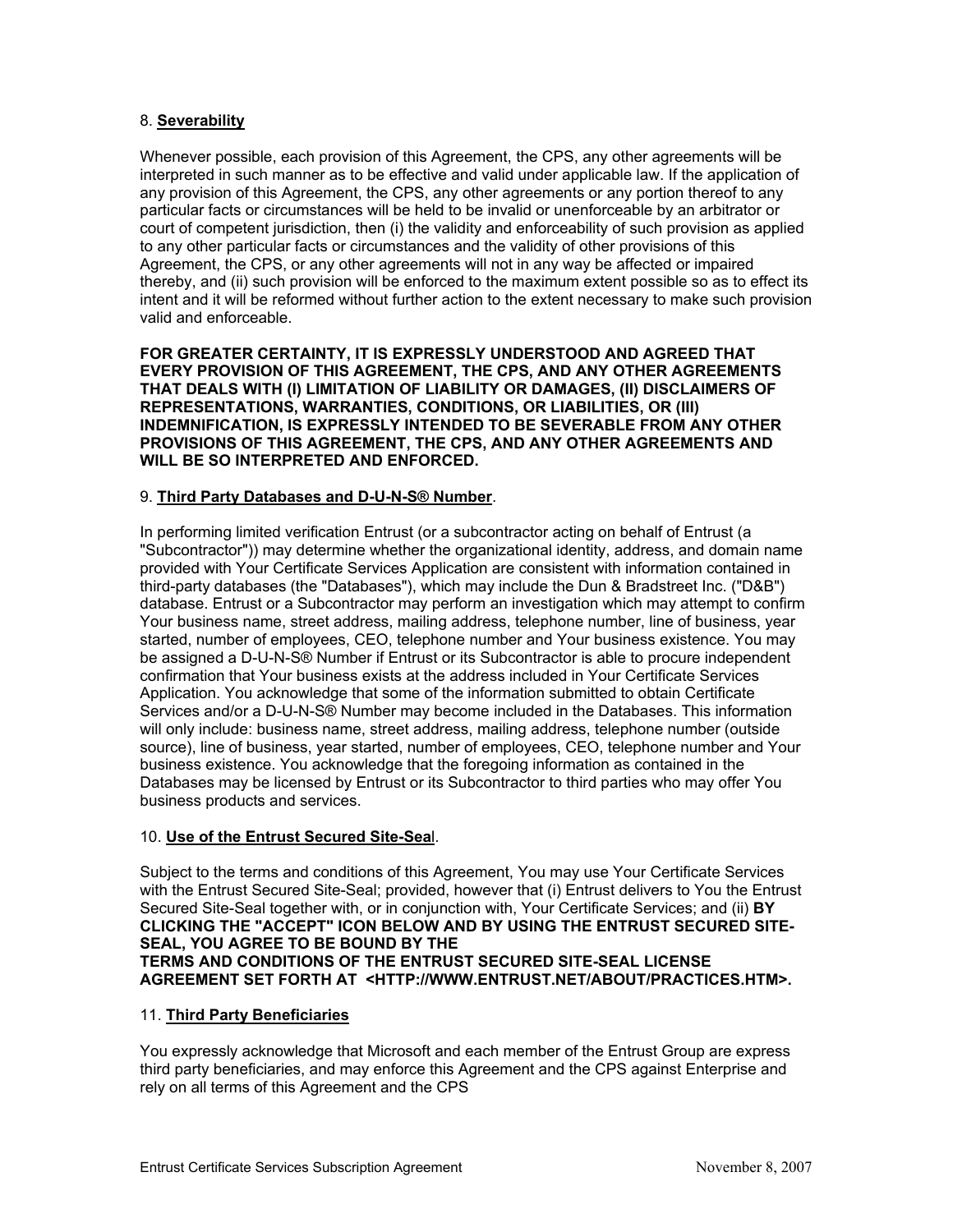# 8. **Severability**

Whenever possible, each provision of this Agreement, the CPS, any other agreements will be interpreted in such manner as to be effective and valid under applicable law. If the application of any provision of this Agreement, the CPS, any other agreements or any portion thereof to any particular facts or circumstances will be held to be invalid or unenforceable by an arbitrator or court of competent jurisdiction, then (i) the validity and enforceability of such provision as applied to any other particular facts or circumstances and the validity of other provisions of this Agreement, the CPS, or any other agreements will not in any way be affected or impaired thereby, and (ii) such provision will be enforced to the maximum extent possible so as to effect its intent and it will be reformed without further action to the extent necessary to make such provision valid and enforceable.

**FOR GREATER CERTAINTY, IT IS EXPRESSLY UNDERSTOOD AND AGREED THAT** EVERY PROVISION OF THIS AGREEMENT, THE CPS, AND ANY OTHER AGREEMENTS **LAIMERS OF THAT DEALS WITH (I) LIMITATION OF LIABILITY OR DAMAGES, (II) DISC REPRESENTATIONS, WARRANTIES, CONDITIONS, OR LIABILITIES, OR (III)**  INDEMNIFICATION, IS EXPRESSLY INTENDED TO BE SEVERABLE FROM ANY OTHER **PROVISIONS OF THIS AGREEMENT, THE CPS, AND ANY OTHER AGREEMENTS AND WILL BE SO INTERPRETED AND ENFORCED.** 

# 9. **Third Party Databases and D-U-N-S® Number**.

In performing limited verification Entrust (or a subcontractor acting on behalf of E ntrust (a "Subcontractor")) may determine whether the organizational identity, address, and dom ain name provided with Your Certificate Services Application are consistent with informati on contained in third-party databases (the "Databases"), which may include the Dun & Brad street Inc. ("D&B") database. Entrust or a Subcontractor may perform an investigation which may a ttempt to confirm Your business name, street address, mailing address, telephone number, line of business, year started, number of employees, CEO, telephone number and Your business existe nce. You may be assigned a D-U-N-S® Number if Entrust or its Subcontractor is able to procure independent confirmation that Your business exists at the address included in Your Certifica te Services Application. You acknowle dge that some of the information submitted to obtain Certificate Services and/or a D-U-N-S® Number may become included in the Databases. This information will only include: business name, street address, mailing address, telephone number (outside source), line of business, year started, number of employees, CEO, telephone number and Your business existence. You acknowledge that the foregoing information as contained in the Databases may be licensed by Entrust or its Subcontractor to third parties who may offer You business products and services.

### 10. **Use of the Entrust Secured Site-Sea**l.

Subject to the terms and conditions of this Agreement, You may use Your Certificate Services with the Entrust Secured Site-Seal; provided, however that (i) Entrust delivers to You the Entrust Secured Site-Seal together with, or in conjunction with, Your Certificate Services; and (ii) **BY ECURED SITE-CLICKING THE "ACCEPT" ICON BELOW AND BY USING THE ENTRUST S SEAL, YOU AGREE TO BE BOUND BY THE TERMS AND CONDITIONS OF THE ENTRUST SECURED SITE-SEAL LICENSE AGREEMENT SET FORTH AT <HTTP://WWW.ENTRUST.NET/ABOUT/PRACTICES.HTM>.**

### 11. **Third Party Beneficiaries**

You expressly acknowledge that Microsoft and each member of the Entrust Group are express third party beneficiaries, and may enforce this Agreement and the CPS against Enterprise and rely on all terms of this Agreement and the CPS